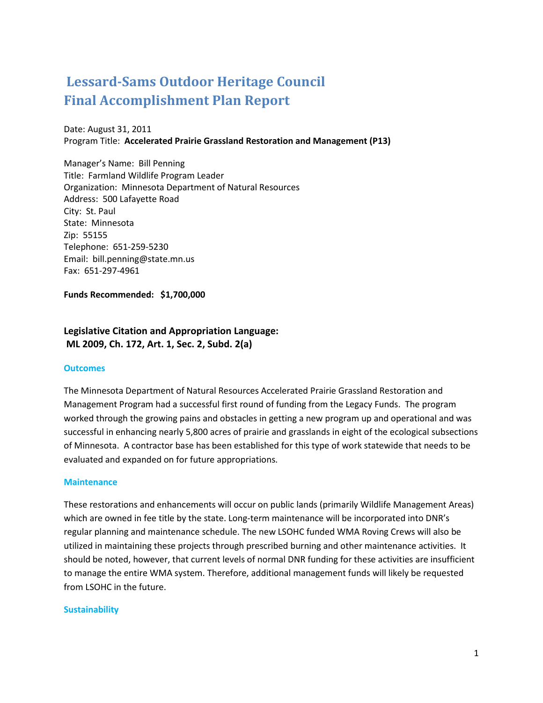# **Lessard-Sams Outdoor Heritage Council Final Accomplishment Plan Report**

Date: August 31, 2011 Program Title: **Accelerated Prairie Grassland Restoration and Management (P13)**

Manager's Name: Bill Penning Title: Farmland Wildlife Program Leader Organization: Minnesota Department of Natural Resources Address: 500 Lafayette Road City: St. Paul State: Minnesota Zip: 55155 Telephone: 651-259-5230 Email: bill.penning@state.mn.us Fax: 651-297-4961

**Funds Recommended: \$1,700,000**

# **Legislative Citation and Appropriation Language: ML 2009, Ch. 172, Art. 1, Sec. 2, Subd. 2(a)**

#### **Outcomes**

The Minnesota Department of Natural Resources Accelerated Prairie Grassland Restoration and Management Program had a successful first round of funding from the Legacy Funds. The program worked through the growing pains and obstacles in getting a new program up and operational and was successful in enhancing nearly 5,800 acres of prairie and grasslands in eight of the ecological subsections of Minnesota. A contractor base has been established for this type of work statewide that needs to be evaluated and expanded on for future appropriations.

#### **Maintenance**

These restorations and enhancements will occur on public lands (primarily Wildlife Management Areas) which are owned in fee title by the state. Long-term maintenance will be incorporated into DNR's regular planning and maintenance schedule. The new LSOHC funded WMA Roving Crews will also be utilized in maintaining these projects through prescribed burning and other maintenance activities. It should be noted, however, that current levels of normal DNR funding for these activities are insufficient to manage the entire WMA system. Therefore, additional management funds will likely be requested from LSOHC in the future.

#### **Sustainability**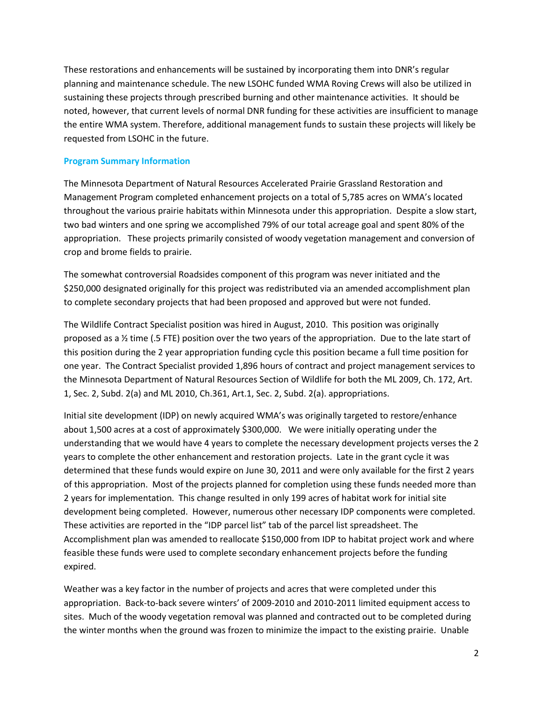These restorations and enhancements will be sustained by incorporating them into DNR's regular planning and maintenance schedule. The new LSOHC funded WMA Roving Crews will also be utilized in sustaining these projects through prescribed burning and other maintenance activities. It should be noted, however, that current levels of normal DNR funding for these activities are insufficient to manage the entire WMA system. Therefore, additional management funds to sustain these projects will likely be requested from LSOHC in the future.

#### **Program Summary Information**

The Minnesota Department of Natural Resources Accelerated Prairie Grassland Restoration and Management Program completed enhancement projects on a total of 5,785 acres on WMA's located throughout the various prairie habitats within Minnesota under this appropriation. Despite a slow start, two bad winters and one spring we accomplished 79% of our total acreage goal and spent 80% of the appropriation. These projects primarily consisted of woody vegetation management and conversion of crop and brome fields to prairie.

The somewhat controversial Roadsides component of this program was never initiated and the \$250,000 designated originally for this project was redistributed via an amended accomplishment plan to complete secondary projects that had been proposed and approved but were not funded.

The Wildlife Contract Specialist position was hired in August, 2010. This position was originally proposed as a ½ time (.5 FTE) position over the two years of the appropriation. Due to the late start of this position during the 2 year appropriation funding cycle this position became a full time position for one year. The Contract Specialist provided 1,896 hours of contract and project management services to the Minnesota Department of Natural Resources Section of Wildlife for both the ML 2009, Ch. 172, Art. 1, Sec. 2, Subd. 2(a) and ML 2010, Ch.361, Art.1, Sec. 2, Subd. 2(a). appropriations.

Initial site development (IDP) on newly acquired WMA's was originally targeted to restore/enhance about 1,500 acres at a cost of approximately \$300,000. We were initially operating under the understanding that we would have 4 years to complete the necessary development projects verses the 2 years to complete the other enhancement and restoration projects. Late in the grant cycle it was determined that these funds would expire on June 30, 2011 and were only available for the first 2 years of this appropriation. Most of the projects planned for completion using these funds needed more than 2 years for implementation. This change resulted in only 199 acres of habitat work for initial site development being completed. However, numerous other necessary IDP components were completed. These activities are reported in the "IDP parcel list" tab of the parcel list spreadsheet. The Accomplishment plan was amended to reallocate \$150,000 from IDP to habitat project work and where feasible these funds were used to complete secondary enhancement projects before the funding expired.

Weather was a key factor in the number of projects and acres that were completed under this appropriation. Back-to-back severe winters' of 2009-2010 and 2010-2011 limited equipment access to sites. Much of the woody vegetation removal was planned and contracted out to be completed during the winter months when the ground was frozen to minimize the impact to the existing prairie. Unable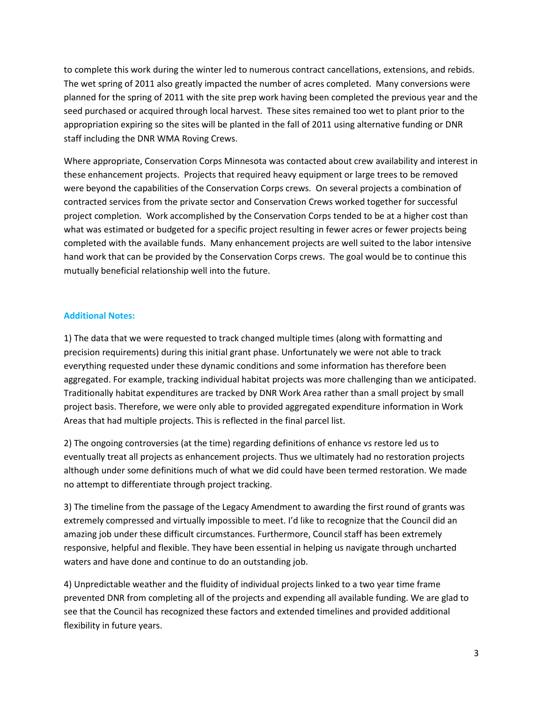to complete this work during the winter led to numerous contract cancellations, extensions, and rebids. The wet spring of 2011 also greatly impacted the number of acres completed. Many conversions were planned for the spring of 2011 with the site prep work having been completed the previous year and the seed purchased or acquired through local harvest. These sites remained too wet to plant prior to the appropriation expiring so the sites will be planted in the fall of 2011 using alternative funding or DNR staff including the DNR WMA Roving Crews.

Where appropriate, Conservation Corps Minnesota was contacted about crew availability and interest in these enhancement projects. Projects that required heavy equipment or large trees to be removed were beyond the capabilities of the Conservation Corps crews. On several projects a combination of contracted services from the private sector and Conservation Crews worked together for successful project completion. Work accomplished by the Conservation Corps tended to be at a higher cost than what was estimated or budgeted for a specific project resulting in fewer acres or fewer projects being completed with the available funds. Many enhancement projects are well suited to the labor intensive hand work that can be provided by the Conservation Corps crews. The goal would be to continue this mutually beneficial relationship well into the future.

#### **Additional Notes:**

1) The data that we were requested to track changed multiple times (along with formatting and precision requirements) during this initial grant phase. Unfortunately we were not able to track everything requested under these dynamic conditions and some information has therefore been aggregated. For example, tracking individual habitat projects was more challenging than we anticipated. Traditionally habitat expenditures are tracked by DNR Work Area rather than a small project by small project basis. Therefore, we were only able to provided aggregated expenditure information in Work Areas that had multiple projects. This is reflected in the final parcel list.

2) The ongoing controversies (at the time) regarding definitions of enhance vs restore led us to eventually treat all projects as enhancement projects. Thus we ultimately had no restoration projects although under some definitions much of what we did could have been termed restoration. We made no attempt to differentiate through project tracking.

3) The timeline from the passage of the Legacy Amendment to awarding the first round of grants was extremely compressed and virtually impossible to meet. I'd like to recognize that the Council did an amazing job under these difficult circumstances. Furthermore, Council staff has been extremely responsive, helpful and flexible. They have been essential in helping us navigate through uncharted waters and have done and continue to do an outstanding job.

4) Unpredictable weather and the fluidity of individual projects linked to a two year time frame prevented DNR from completing all of the projects and expending all available funding. We are glad to see that the Council has recognized these factors and extended timelines and provided additional flexibility in future years.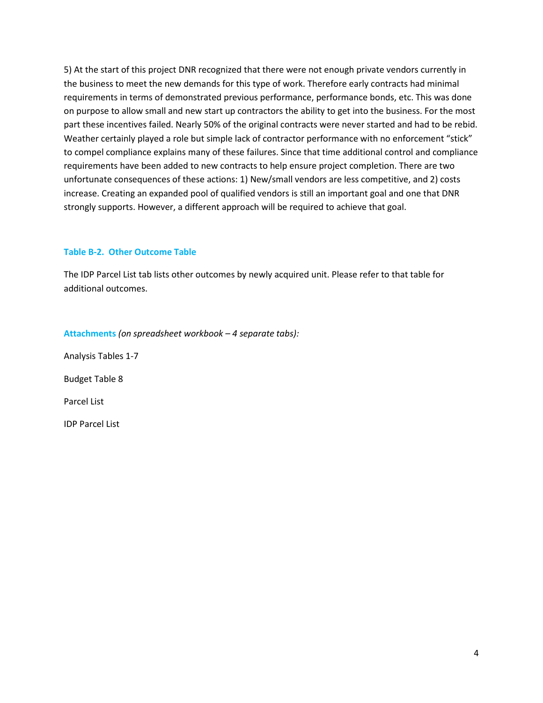5) At the start of this project DNR recognized that there were not enough private vendors currently in the business to meet the new demands for this type of work. Therefore early contracts had minimal requirements in terms of demonstrated previous performance, performance bonds, etc. This was done on purpose to allow small and new start up contractors the ability to get into the business. For the most part these incentives failed. Nearly 50% of the original contracts were never started and had to be rebid. Weather certainly played a role but simple lack of contractor performance with no enforcement "stick" to compel compliance explains many of these failures. Since that time additional control and compliance requirements have been added to new contracts to help ensure project completion. There are two unfortunate consequences of these actions: 1) New/small vendors are less competitive, and 2) costs increase. Creating an expanded pool of qualified vendors is still an important goal and one that DNR strongly supports. However, a different approach will be required to achieve that goal.

#### **Table B-2. Other Outcome Table**

The IDP Parcel List tab lists other outcomes by newly acquired unit. Please refer to that table for additional outcomes.

#### **Attachments** *(on spreadsheet workbook – 4 separate tabs):*

Analysis Tables 1-7 Budget Table 8

Parcel List

IDP Parcel List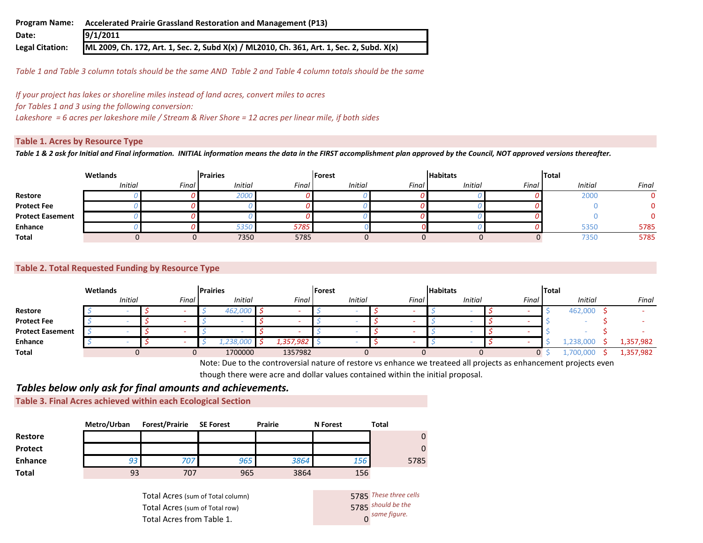| <b>Program Name:</b>   | Accelerated Prairie Grassland Restoration and Management (P13)                            |
|------------------------|-------------------------------------------------------------------------------------------|
| Date:                  | 9/1/2011                                                                                  |
| <b>Legal Citation:</b> | ML 2009, Ch. 172, Art. 1, Sec. 2, Subd X(x) / ML2010, Ch. 361, Art. 1, Sec. 2, Subd. X(x) |

*Table 1 and Table 3 column totals should be the same AND Table 2 and Table 4 column totals should be the same*

*If your project has lakes or shoreline miles instead of land acres, convert miles to acres for Tables 1 and 3 using the following conversion:* 

*Lakeshore = 6 acres per lakeshore mile / Stream & River Shore = 12 acres per linear mile, if both sides*

#### **Table 1. Acres by Resource Type**

*Table 1 & 2 ask for Initial and Final information. INITIAL information means the data in the FIRST accomplishment plan approved by the Council, NOT approved versions thereafter.*

|                         | Wetlands       |       | <b>Prairies</b> |       | Forest         |       | <b>Habitats</b> |       | <b>Total</b>   |       |
|-------------------------|----------------|-------|-----------------|-------|----------------|-------|-----------------|-------|----------------|-------|
|                         | <b>Initial</b> | Final | <b>Initial</b>  | Final | <b>Initial</b> | Final | <b>Initial</b>  | Final | <b>Initial</b> | Final |
| Restore                 |                |       | 2000            |       |                |       |                 |       | 2000           |       |
| <b>Protect Fee</b>      |                |       |                 |       |                |       |                 |       |                |       |
| <b>Protect Easement</b> |                |       |                 |       |                |       |                 |       |                |       |
| Enhance                 |                |       | 5350            | 5785  |                |       |                 |       | 5350           | 5785  |
| <b>Total</b>            |                |       | 7350            | 5785  |                |       |                 |       | 7350           | 5785  |

#### **Table 2. Total Requested Funding by Resource Type**

|                         | Wetlands |                |  |       |  | <b>Prairies</b> |  | Forest    |  |                |  | <b>Habitats</b> |  |                |  | Total |  |                |  |           |
|-------------------------|----------|----------------|--|-------|--|-----------------|--|-----------|--|----------------|--|-----------------|--|----------------|--|-------|--|----------------|--|-----------|
|                         |          | <b>Initial</b> |  | Final |  | <b>Initial</b>  |  | Final     |  | <b>Initial</b> |  | Final           |  | <b>Initial</b> |  | Final |  | <b>Initial</b> |  | Final     |
| Restore                 |          |                |  |       |  | 462.000         |  | -         |  |                |  | -               |  |                |  |       |  | 462,000        |  |           |
| <b>Protect Fee</b>      |          |                |  |       |  |                 |  | -         |  |                |  |                 |  |                |  |       |  |                |  |           |
| <b>Protect Easement</b> |          |                |  |       |  |                 |  | -         |  |                |  | . .             |  |                |  |       |  |                |  |           |
| Enhance                 |          |                |  |       |  | <b>738,000</b>  |  | 1,357,982 |  |                |  | -               |  |                |  |       |  | .238.000       |  | 1,357,982 |
| Total                   |          |                |  |       |  | 1700000         |  | 1357982   |  |                |  |                 |  |                |  |       |  |                |  | 1,357,982 |

Note: Due to the controversial nature of restore vs enhance we treateed all projects as enhancement projects even though there were acre and dollar values contained within the initial proposal.

## *Tables below only ask for final amounts and achievements.*

**Table 3. Final Acres achieved within each Ecological Section**

|                | Metro/Urban | <b>Forest/Prairie</b> | <b>SE Forest</b> | <b>Prairie</b> | <b>N</b> Forest | Total    |
|----------------|-------------|-----------------------|------------------|----------------|-----------------|----------|
| <b>Restore</b> |             |                       |                  |                |                 | $\Omega$ |
| <b>Protect</b> |             |                       |                  |                |                 | $\Omega$ |
| <b>Enhance</b> | 93          | 707                   | 965              | 3864           | 156             | 5785     |
| <b>Total</b>   | 93          | 707                   | 965              | 3864           | 156             |          |

Total Acres (sum of Total column) Total Acres (sum of Total row) Total Acres from Table 1. 0

*These three cells*  5785 should be the *same figure.*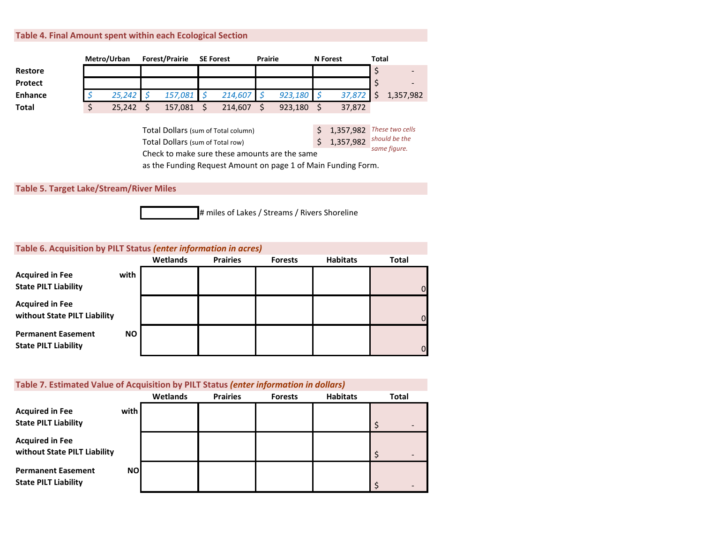#### **Table 4. Final Amount spent within each Ecological Section**

|                | Metro/Urban  | <b>Forest/Prairie</b>            |   | <b>SE Forest</b>                    | <b>Prairie</b>                                                |    | <b>N</b> Forest | <b>Total</b> |                 |
|----------------|--------------|----------------------------------|---|-------------------------------------|---------------------------------------------------------------|----|-----------------|--------------|-----------------|
| Restore        |              |                                  |   |                                     |                                                               |    |                 | \$           |                 |
| Protect        |              |                                  |   |                                     |                                                               |    |                 | \$           | $\overline{ }$  |
| <b>Enhance</b> | 25,242       | 157,081                          | Ŝ | 214,607                             | 923,180                                                       |    | 37,872          | Ś            | 1,357,982       |
| <b>Total</b>   | \$<br>25,242 | 157,081                          |   | 214,607                             | 923,180                                                       |    | 37,872          |              |                 |
|                |              |                                  |   |                                     |                                                               |    |                 |              |                 |
|                |              |                                  |   | Total Dollars (sum of Total column) |                                                               | \$ | 1,357,982       |              | These two cells |
|                |              | Total Dollars (sum of Total row) |   |                                     |                                                               | Ś  | 1,357,982       |              | should be the   |
|                |              |                                  |   |                                     | Check to make sure these amounts are the same                 |    |                 |              | same figure.    |
|                |              |                                  |   |                                     | as the Funding Request Amount on page 1 of Main Funding Form. |    |                 |              |                 |
|                |              |                                  |   |                                     |                                                               |    |                 |              |                 |

**Table 5. Target Lake/Stream/River Miles**



 $\Omega$ 

 $\Omega$ 

0

# **Table 6. Acquisition by PILT Status** *(enter information in acres)* **Wetlands Prairies Forests Habitats Total Acquired in Fee with State PILT Liability Acquired in Fee without State PILT Liability Permanent Easement NO State PILT Liability**

#### **Table 7. Estimated Value of Acquisition by PILT Status** *(enter information in dollars)*

|                                                          |           | Wetlands | <b>Prairies</b> | <b>Forests</b> | <b>Habitats</b> | <b>Total</b> |
|----------------------------------------------------------|-----------|----------|-----------------|----------------|-----------------|--------------|
| <b>Acquired in Fee</b><br><b>State PILT Liability</b>    | with      |          |                 |                |                 |              |
| <b>Acquired in Fee</b><br>without State PILT Liability   |           |          |                 |                |                 |              |
| <b>Permanent Easement</b><br><b>State PILT Liability</b> | <b>NO</b> |          |                 |                |                 |              |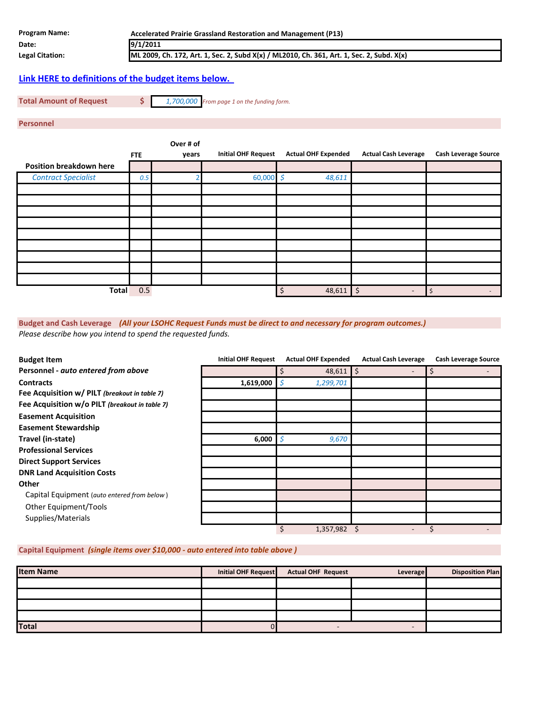| <b>Program Name:</b>   | Accelerated Prairie Grassland Restoration and Management (P13)                            |
|------------------------|-------------------------------------------------------------------------------------------|
| Date:                  | 9/1/2011                                                                                  |
| <b>Legal Citation:</b> | ML 2009, Ch. 172, Art. 1, Sec. 2, Subd X(x) / ML2010, Ch. 361, Art. 1, Sec. 2, Subd. X(x) |
|                        |                                                                                           |

### **[Link HERE to definitions of the budget items below.](http://www.lsohc.leg.mn/FY2012/Budget definitions.pdf)**

**Total Amount of Request \$** *1,700,000 From page 1 on the funding form.*

**Personnel** 

|                                | <b>FTE</b> | Over # of<br>years | <b>Initial OHF Request</b> | <b>Actual OHF Expended</b> | <b>Actual Cash Leverage</b> | <b>Cash Leverage Source</b> |
|--------------------------------|------------|--------------------|----------------------------|----------------------------|-----------------------------|-----------------------------|
| <b>Position breakdown here</b> |            |                    |                            |                            |                             |                             |
| <b>Contract Specialist</b>     | 0.5        |                    | 60,000 $\sharp$            | 48,611                     |                             |                             |
|                                |            |                    |                            |                            |                             |                             |
|                                |            |                    |                            |                            |                             |                             |
|                                |            |                    |                            |                            |                             |                             |
|                                |            |                    |                            |                            |                             |                             |
|                                |            |                    |                            |                            |                             |                             |
|                                |            |                    |                            |                            |                             |                             |
|                                |            |                    |                            |                            |                             |                             |
|                                |            |                    |                            |                            |                             |                             |
|                                |            |                    |                            |                            |                             |                             |
| <b>Total</b>                   | 0.5        |                    |                            | $48,611$ \$<br>\$          | $\qquad \qquad$             | Ś.<br>$\sim$                |

**Budget and Cash Leverage** *(All your LSOHC Request Funds must be direct to and necessary for program outcomes.) Please describe how you intend to spend the requested funds.*

| <b>Budget Item</b>                             | <b>Initial OHF Request</b> | <b>Actual OHF Expended</b> | <b>Actual Cash Leverage</b> | <b>Cash Leverage Source</b> |
|------------------------------------------------|----------------------------|----------------------------|-----------------------------|-----------------------------|
| Personnel - auto entered from above            |                            | $48,611$ \$                |                             | \$                          |
| <b>Contracts</b>                               | 1,619,000                  | 1,299,701<br>Ş             |                             |                             |
| Fee Acquisition w/ PILT (breakout in table 7)  |                            |                            |                             |                             |
| Fee Acquisition w/o PILT (breakout in table 7) |                            |                            |                             |                             |
| <b>Easement Acquisition</b>                    |                            |                            |                             |                             |
| <b>Easement Stewardship</b>                    |                            |                            |                             |                             |
| Travel (in-state)                              | $6,000$   $\circ$          | 9,670                      |                             |                             |
| <b>Professional Services</b>                   |                            |                            |                             |                             |
| <b>Direct Support Services</b>                 |                            |                            |                             |                             |
| <b>DNR Land Acquisition Costs</b>              |                            |                            |                             |                             |
| Other                                          |                            |                            |                             |                             |
| Capital Equipment (auto entered from below)    |                            |                            |                             |                             |
| Other Equipment/Tools                          |                            |                            |                             |                             |
| Supplies/Materials                             |                            |                            |                             |                             |
|                                                |                            | \$<br>1,357,982            |                             |                             |

#### **Capital Equipment** *(single items over \$10,000 - auto entered into table above )*

| <b>Item Name</b> | Initial OHF Request | <b>Actual OHF Request</b> | Leverage | <b>Disposition Plan</b> |
|------------------|---------------------|---------------------------|----------|-------------------------|
|                  |                     |                           |          |                         |
|                  |                     |                           |          |                         |
|                  |                     |                           |          |                         |
|                  |                     |                           |          |                         |
| <b>Total</b>     |                     | -                         |          |                         |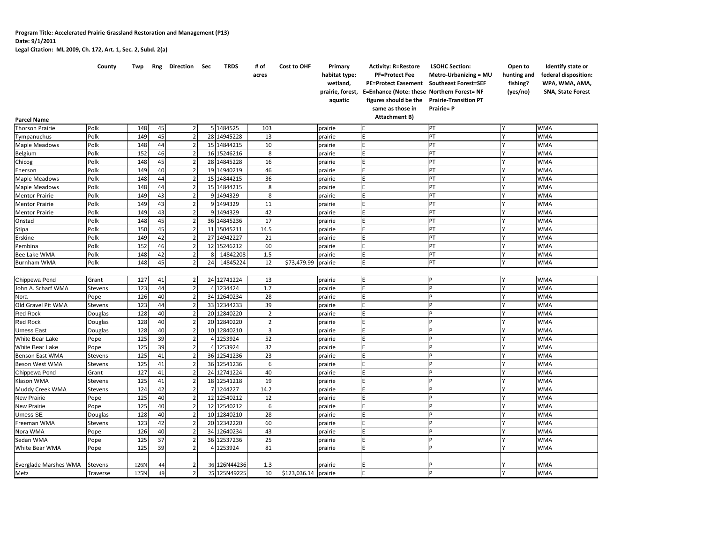**Legal Citation: ML 2009, Ch. 172, Art. 1, Sec. 2, Subd. 2(a)**

|                              | County         | Twp  | Rng | Direction Sec  |    | <b>TRDS</b>  | # of<br>acres | Cost to OHF          | Primary<br>habitat type:<br>wetland,<br>prairie, forest,<br>aquatic | <b>Activity: R=Restore</b><br><b>PF=Protect Fee</b><br><b>PE=Protect Easement</b><br>E=Enhance (Note: these Northern Forest= NF<br>figures should be the<br>same as those in | <b>LSOHC Section:</b><br><b>Metro-Urbanizing = MU</b><br><b>Southeast Forest=SEF</b><br><b>Prairie-Transition PT</b><br>Prairie= P | Open to<br>hunting and<br>fishing?<br>(yes/no) | Identify state or<br>federal disposition:<br>WPA, WMA, AMA,<br><b>SNA, State Forest</b> |
|------------------------------|----------------|------|-----|----------------|----|--------------|---------------|----------------------|---------------------------------------------------------------------|------------------------------------------------------------------------------------------------------------------------------------------------------------------------------|------------------------------------------------------------------------------------------------------------------------------------|------------------------------------------------|-----------------------------------------------------------------------------------------|
| <b>Parcel Name</b>           |                |      |     |                |    |              |               |                      |                                                                     | Attachment B)                                                                                                                                                                |                                                                                                                                    |                                                |                                                                                         |
| <b>Thorson Prairie</b>       | Polk           | 148  | 45  | $\overline{2}$ |    | 5 1484525    | 103           |                      | prairie                                                             |                                                                                                                                                                              | PT                                                                                                                                 |                                                | <b>WMA</b>                                                                              |
| Tympanuchus                  | Polk           | 149  | 45  | $\overline{2}$ |    | 28 14945228  | 13            |                      | prairie                                                             | Ė                                                                                                                                                                            | PT                                                                                                                                 |                                                | WMA                                                                                     |
| Maple Meadows                | Polk           | 148  | 44  | $\overline{2}$ |    | 15 14844215  | 10            |                      | prairie                                                             | Ė                                                                                                                                                                            | PT                                                                                                                                 |                                                | <b>WMA</b>                                                                              |
| Belgium                      | Polk           | 152  | 46  | $\overline{2}$ |    | 16 15246216  | 8             |                      | prairie                                                             | E                                                                                                                                                                            | PT                                                                                                                                 |                                                | <b>WMA</b>                                                                              |
| Chicog                       | Polk           | 148  | 45  | $\overline{2}$ |    | 28 14845228  | 16            |                      | prairie                                                             | Ė                                                                                                                                                                            | PT                                                                                                                                 |                                                | WMA                                                                                     |
| Enerson                      | Polk           | 149  | 40  | $\overline{2}$ |    | 19 14940219  | 46            |                      | prairie                                                             | E                                                                                                                                                                            | PT                                                                                                                                 |                                                | <b>WMA</b>                                                                              |
| Maple Meadows                | Polk           | 148  | 44  | $\overline{2}$ |    | 15 14844215  | 36            |                      | prairie                                                             | E                                                                                                                                                                            | PT                                                                                                                                 |                                                | <b>WMA</b>                                                                              |
| Maple Meadows                | Polk           | 148  | 44  | $\overline{2}$ |    | 15 14844215  | 8             |                      | prairie                                                             | E                                                                                                                                                                            | PT                                                                                                                                 |                                                | <b>WMA</b>                                                                              |
| <b>Mentor Prairie</b>        | Polk           | 149  | 43  | $\overline{2}$ |    | 9 1494329    | 8             |                      | prairie                                                             | E                                                                                                                                                                            | PT                                                                                                                                 |                                                | <b>WMA</b>                                                                              |
| <b>Mentor Prairie</b>        | Polk           | 149  | 43  | $\overline{2}$ |    | 9 1494329    | 11            |                      | prairie                                                             | E                                                                                                                                                                            | PT                                                                                                                                 |                                                | <b>WMA</b>                                                                              |
| <b>Mentor Prairie</b>        | Polk           | 149  | 43  | $\overline{2}$ |    | 9 1494329    | 42            |                      | prairie                                                             | E                                                                                                                                                                            | PT                                                                                                                                 |                                                | <b>WMA</b>                                                                              |
| Onstad                       | Polk           | 148  | 45  | $\overline{2}$ |    | 36 14845236  | 17            |                      | prairie                                                             | E                                                                                                                                                                            | PT                                                                                                                                 |                                                | <b>WMA</b>                                                                              |
| Stipa                        | Polk           | 150  | 45  | $\overline{2}$ |    | 11 15045211  | 14.5          |                      | prairie                                                             | E                                                                                                                                                                            | PT                                                                                                                                 |                                                | WMA                                                                                     |
| Erskine                      | Polk           | 149  | 42  | $\overline{2}$ |    | 27 14942227  | 21            |                      | prairie                                                             | F                                                                                                                                                                            | PT                                                                                                                                 |                                                | <b>WMA</b>                                                                              |
| Pembina                      | Polk           | 152  | 46  | $\overline{2}$ |    | 12 15246212  | 60            |                      | prairie                                                             | F                                                                                                                                                                            | PT                                                                                                                                 |                                                | WMA                                                                                     |
| Bee Lake WMA                 | Polk           | 148  | 42  | $\overline{2}$ | 8  | 14842208     | 1.5           |                      | prairie                                                             | E                                                                                                                                                                            | PT                                                                                                                                 |                                                | <b>WMA</b>                                                                              |
| <b>Burnham WMA</b>           | Polk           | 148  | 45  | $\overline{2}$ | 24 | 14845224     | 12            | \$73,479.99          | prairie                                                             | E                                                                                                                                                                            | PT                                                                                                                                 |                                                | <b>WMA</b>                                                                              |
|                              |                |      |     |                |    |              |               |                      |                                                                     |                                                                                                                                                                              |                                                                                                                                    |                                                |                                                                                         |
| Chippewa Pond                | Grant          | 127  | 41  | $\overline{2}$ |    | 24 12741224  | 13            |                      | prairie                                                             | E                                                                                                                                                                            | D                                                                                                                                  |                                                | <b>WMA</b>                                                                              |
| John A. Scharf WMA           | Stevens        | 123  | 44  | $\overline{2}$ |    | 4 1234424    | 1.7           |                      | prairie                                                             | F                                                                                                                                                                            |                                                                                                                                    |                                                | <b>WMA</b>                                                                              |
| Nora                         | Pope           | 126  | 40  | $\overline{2}$ |    | 34 12640234  | 28            |                      | prairie                                                             | F                                                                                                                                                                            |                                                                                                                                    |                                                | <b>WMA</b>                                                                              |
| Old Gravel Pit WMA           | Stevens        | 123  | 44  | $\overline{2}$ |    | 33 12344233  | 39            |                      | prairie                                                             |                                                                                                                                                                              |                                                                                                                                    |                                                | WMA                                                                                     |
| Red Rock                     | Douglas        | 128  | 40  | $\overline{2}$ |    | 20 12840220  |               |                      | prairie                                                             | Ė                                                                                                                                                                            |                                                                                                                                    |                                                | <b>WMA</b>                                                                              |
| Red Rock                     | Douglas        | 128  | 40  | $\overline{2}$ |    | 20 12840220  |               |                      | prairie                                                             | Ē                                                                                                                                                                            |                                                                                                                                    |                                                | <b>WMA</b>                                                                              |
| <b>Urness East</b>           | Douglas        | 128  | 40  | $\overline{2}$ |    | 10 12840210  |               |                      | prairie                                                             | F                                                                                                                                                                            |                                                                                                                                    |                                                | <b>WMA</b>                                                                              |
| White Bear Lake              | Pope           | 125  | 39  | $\overline{2}$ |    | 4 1253924    | 52            |                      | prairie                                                             | Ē                                                                                                                                                                            | Þ                                                                                                                                  |                                                | <b>WMA</b>                                                                              |
| White Bear Lake              | Pope           | 125  | 39  | $\overline{2}$ |    | 4 1253924    | 32            |                      | prairie                                                             | E                                                                                                                                                                            | Þ                                                                                                                                  |                                                | <b>WMA</b>                                                                              |
| Benson East WMA              | Stevens        | 125  | 41  | $\overline{2}$ |    | 36 12541236  | 23            |                      | prairie                                                             | E                                                                                                                                                                            | p                                                                                                                                  |                                                | <b>WMA</b>                                                                              |
| Beson West WMA               | Stevens        | 125  | 41  | $\overline{2}$ |    | 36 12541236  | 6             |                      | prairie                                                             | E                                                                                                                                                                            | Þ                                                                                                                                  |                                                | <b>WMA</b>                                                                              |
| Chippewa Pond                | Grant          | 127  | 41  | $\overline{2}$ |    | 24 12741224  | 40            |                      | prairie                                                             | E                                                                                                                                                                            | p                                                                                                                                  |                                                | <b>WMA</b>                                                                              |
| Klason WMA                   | Stevens        | 125  | 41  | $\overline{2}$ |    | 18 12541218  | 19            |                      | prairie                                                             | E                                                                                                                                                                            | Þ                                                                                                                                  |                                                | <b>WMA</b>                                                                              |
| Muddy Creek WMA              | Stevens        | 124  | 42  | $\overline{2}$ |    | 7 1244227    | 14.2          |                      | prairie                                                             | F                                                                                                                                                                            | p                                                                                                                                  |                                                | <b>WMA</b>                                                                              |
| New Prairie                  | Pope           | 125  | 40  | $\overline{2}$ |    | 12 12540212  | 12            |                      | prairie                                                             | F                                                                                                                                                                            | D                                                                                                                                  |                                                | <b>WMA</b>                                                                              |
| New Prairie                  | Pope           | 125  | 40  | $\overline{2}$ |    | 12 12540212  | 6             |                      | prairie                                                             | E                                                                                                                                                                            | Þ                                                                                                                                  |                                                | <b>WMA</b>                                                                              |
| Urness SE                    | Douglas        | 128  | 40  | $\overline{2}$ |    | 10 12840210  | 28            |                      | prairie                                                             | F                                                                                                                                                                            |                                                                                                                                    |                                                | <b>WMA</b>                                                                              |
| Freeman WMA                  | Stevens        | 123  | 42  | $\overline{2}$ |    | 20 12342220  | 60            |                      | prairie                                                             | E                                                                                                                                                                            | Þ                                                                                                                                  |                                                | <b>WMA</b>                                                                              |
| Nora WMA                     | Pope           | 126  | 40  | $\overline{2}$ |    | 34 12640234  | 43            |                      | prairie                                                             | Ē                                                                                                                                                                            |                                                                                                                                    |                                                | <b>WMA</b>                                                                              |
| Sedan WMA                    | Pope           | 125  | 37  | $\overline{2}$ | 36 | 12537236     | 25            |                      | prairie                                                             | Ē                                                                                                                                                                            | Þ                                                                                                                                  |                                                | WMA                                                                                     |
| White Bear WMA               | Pope           | 125  | 39  | $\overline{2}$ | 41 | 1253924      | 81            |                      | prairie                                                             | E                                                                                                                                                                            |                                                                                                                                    |                                                | <b>WMA</b>                                                                              |
|                              |                |      |     |                |    |              |               |                      |                                                                     |                                                                                                                                                                              |                                                                                                                                    |                                                |                                                                                         |
| <b>Everglade Marshes WMA</b> | <b>Stevens</b> | 126N | 44  | $\overline{2}$ |    | 36 126N44236 | 1.3           |                      | prairie                                                             | E                                                                                                                                                                            |                                                                                                                                    |                                                | <b>WMA</b>                                                                              |
| Metz                         | Traverse       | 125N | 49  | $\overline{2}$ |    | 25 125N49225 | 10            | \$123,036.14 prairie |                                                                     | E                                                                                                                                                                            | Þ                                                                                                                                  |                                                | <b>WMA</b>                                                                              |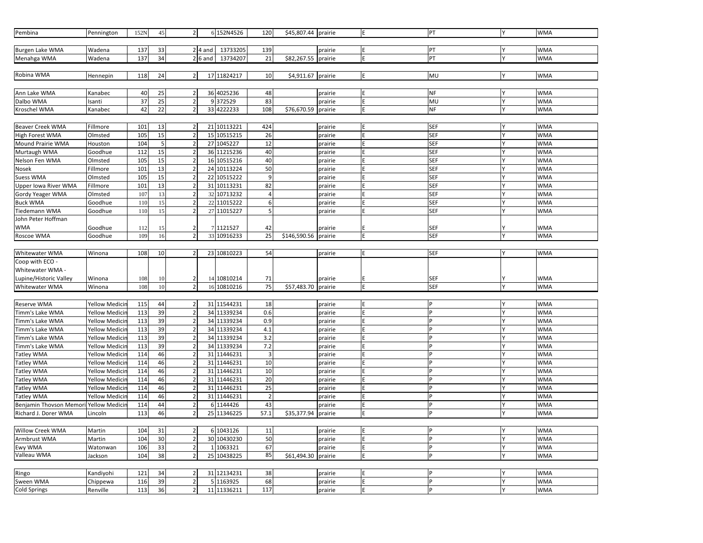| Pembina                         | Pennington                                     | 152N       | 45       | 2 <sub>l</sub>                   |           | 6 152N4526                 | 120            | \$45,807.44 prairie  |                    | E | PT         | <b>WMA</b>               |
|---------------------------------|------------------------------------------------|------------|----------|----------------------------------|-----------|----------------------------|----------------|----------------------|--------------------|---|------------|--------------------------|
|                                 |                                                |            |          |                                  |           |                            |                |                      |                    |   |            |                          |
| Burgen Lake WMA                 | Wadena                                         | 137        | 33       |                                  | $2$ 4 and | 13733205                   | 139            |                      | prairie            |   | PT         | <b>WMA</b>               |
| Menahga WMA                     | Wadena                                         | 137        | 34       |                                  | $2 6$ and | 13734207                   | 21             | \$82,267.55 prairie  |                    |   | PT         | <b>WMA</b>               |
|                                 |                                                |            |          |                                  |           |                            |                |                      |                    |   |            |                          |
| Robina WMA                      | Hennepin                                       | 118        | 24       | $\overline{2}$                   |           | 17 11824217                | 10             | \$4,911.67 prairie   |                    | E | MU         | <b>WMA</b>               |
|                                 |                                                |            |          |                                  |           |                            |                |                      |                    |   |            |                          |
| Ann Lake WMA                    | Kanabec                                        | 40         | 25       | $\overline{\mathbf{c}}$          |           | 36 4025236                 | 48             |                      | prairie            |   | <b>NF</b>  | <b>WMA</b>               |
| Dalbo WMA                       | Isanti                                         | 37         | 25       | $\overline{2}$                   |           | 9 372529                   | 83             |                      | prairie            |   | MU         | <b>WMA</b>               |
| Kroschel WMA                    | Kanabec                                        | 42         | 22       | $\overline{2}$                   |           | 33 4222233                 | 108            | \$76,670.59          | prairie            | E | <b>NF</b>  | <b>WMA</b>               |
|                                 |                                                |            |          |                                  |           |                            |                |                      |                    |   |            |                          |
| <b>Beaver Creek WMA</b>         | Fillmore                                       | 101        | 13       | $\overline{2}$                   |           | 21 10113221                | 424            |                      | prairie            |   | <b>SEF</b> | <b>WMA</b>               |
| High Forest WMA                 | Olmsted                                        | 105        | 15       | $\overline{2}$                   |           | 15 10515215                | 26             |                      | prairie            |   | <b>SEF</b> | <b>WMA</b>               |
| Mound Prairie WMA               | Houston                                        | 104        | 5        |                                  |           | 27 1045227                 | 12             |                      | prairie            |   | <b>SEF</b> | <b>WMA</b>               |
| Murtaugh WMA                    | Goodhue                                        | 112        | 15       | $\overline{2}$                   |           | 36 11215236                | 40             |                      | prairie            |   | <b>SEF</b> | <b>WMA</b>               |
| Nelson Fen WMA                  | Olmsted                                        | 105        | 15       | $\overline{2}$                   |           | 16 10515216                | 40             |                      | prairie            |   | <b>SEF</b> | <b>WMA</b>               |
| Nosek                           | Fillmore                                       | 101        | 13       | $\mathbf 2$                      |           | 24 10113224                | 50             |                      | prairie            |   | <b>SEF</b> | <b>WMA</b>               |
| <b>Suess WMA</b>                | Olmsted                                        | 105        | 15       | $\overline{\mathbf{c}}$          |           | 22 10515222                | 9              |                      | prairie            |   | <b>SEF</b> | <b>WMA</b>               |
| <b>Upper lowa River WMA</b>     | Fillmore                                       | 101        | 13       | $\overline{2}$                   |           | 31 10113231                | 82             |                      | prairie            |   | <b>SEF</b> | <b>WMA</b>               |
| Gordy Yeager WMA                | Olmsted                                        | 107        | 13       | $\overline{2}$                   |           | 32 10713232                | 4              |                      | prairie            |   | <b>SEF</b> | <b>WMA</b>               |
| <b>Buck WMA</b>                 | Goodhue                                        | 110        | 15       | $\overline{\mathbf{c}}$          |           | 22 11015222                | 6              |                      | prairie            | Ė | <b>SEF</b> | <b>WMA</b>               |
| Tiedemann WMA                   | Goodhue                                        | 110        | 15       | $\overline{2}$                   |           | 27 11015227                | 5              |                      | prairie            | Ė | <b>SEF</b> | <b>WMA</b>               |
| John Peter Hoffman              |                                                |            |          |                                  |           |                            |                |                      |                    |   |            |                          |
| WMA                             | Goodhue                                        | 112        | 15       | $\overline{2}$                   |           | 7 1121527                  | 42             |                      | prairie            |   | <b>SEF</b> | <b>WMA</b>               |
| Roscoe WMA                      | Goodhue                                        | 109        | 16       | $\overline{2}$                   |           | 33 10916233                | 25             | \$146,590.56 prairie |                    | E | <b>SEF</b> | <b>WMA</b>               |
|                                 |                                                |            |          |                                  |           |                            |                |                      |                    |   |            |                          |
| Whitewater WMA                  | Winona                                         | 108        | 10       | $\overline{2}$                   |           | 23 10810223                | 54             |                      | prairie            |   | <b>SEF</b> | <b>WMA</b>               |
| Coop with ECO -                 |                                                |            |          |                                  |           |                            |                |                      |                    |   |            |                          |
| Whitewater WMA -                |                                                |            |          |                                  |           |                            |                |                      |                    |   |            |                          |
| Lupine/Historic Valley          | Winona                                         | 108        | 10       | $\overline{2}$                   |           | 14 10810214                | 71             |                      | prairie            |   | <b>SEF</b> | <b>WMA</b>               |
| Whitewater WMA                  | Winona                                         | 108        | 10       | $\overline{2}$                   |           | 16 10810216                | 75             | \$57,483.70          | prairie            |   | <b>SEF</b> | <b>WMA</b>               |
|                                 |                                                |            |          |                                  |           |                            |                |                      |                    |   |            |                          |
| Reserve WMA                     | <b>Yellow Medicii</b>                          | 115        | 44       | $\overline{2}$                   |           | 31 11544231                | 18             |                      | prairie            |   | P          | <b>WMA</b>               |
| Timm's Lake WMA                 | <b>Yellow Medicir</b>                          | 113        | 39       | $\overline{2}$                   |           | 34 11339234                | 0.6            |                      | prairie            |   | D          | <b>WMA</b>               |
| Timm's Lake WMA                 | <b>Yellow Medicii</b>                          | 113        | 39       | $\overline{\mathbf{c}}$          |           | 34 11339234                | 0.9            |                      | prairie            |   |            | <b>WMA</b>               |
| Timm's Lake WMA                 | Yellow Medici                                  | 113        | 39       | $\overline{2}$                   |           | 34 11339234                | 4.1            |                      | prairie            |   | D          | <b>WMA</b>               |
| Timm's Lake WMA                 | <b>Yellow Medicir</b>                          | 113        | 39       | $\overline{2}$                   |           | 34 11339234                | 3.2            |                      | prairie            |   |            | <b>WMA</b>               |
| Timm's Lake WMA                 | <b>Yellow Medicii</b>                          | 113        | 39       |                                  |           | 34 11339234                | 7.2            |                      | prairie            |   | Þ          | <b>WMA</b>               |
| Tatley WMA                      | <b>Yellow Medicir</b>                          | 114        | 46       | $\overline{2}$<br>$\overline{2}$ |           | 31 11446231                | 3              |                      | prairie            |   | D          | <b>WMA</b><br><b>WMA</b> |
| Tatley WMA                      | <b>Yellow Medicii</b><br><b>Yellow Medicii</b> | 114<br>114 | 46<br>46 | $\overline{\mathbf{c}}$          |           | 31 11446231<br>31 11446231 | 10<br>10       |                      | prairie            |   |            | <b>WMA</b>               |
| Tatley WMA                      |                                                | 114        | 46       | $\overline{\mathbf{c}}$          |           | 31 11446231                | 20             |                      | prairie            |   | D          | <b>WMA</b>               |
| Tatley WMA<br><b>Tatley WMA</b> | <b>Yellow Medicii</b><br><b>Yellow Medicii</b> | 114        | 46       | $\overline{2}$                   |           | 31 11446231                | 25             |                      | prairie<br>prairie |   |            | <b>WMA</b>               |
| Tatley WMA                      | <b>Yellow Medicii</b>                          | 114        | 46       | $\overline{2}$                   |           | 31 11446231                | $\overline{a}$ |                      | prairie            |   |            | <b>WMA</b>               |
| Benjamin Thovson Memori         | <b>Yellow Medicii</b>                          | 114        | 44       | 2                                |           | 6 1144426                  | 43             |                      | prairie            |   | P          | <b>WMA</b>               |
| Richard J. Dorer WMA            | Lincoln                                        | 113        | 46       | $\overline{2}$                   |           | 25 11346225                | 57.1           | \$35,377.94          | prairie            |   | D          | <b>WMA</b>               |
|                                 |                                                |            |          |                                  |           |                            |                |                      |                    |   |            |                          |
| Willow Creek WMA                | Martin                                         | 104        | 31       | $\overline{2}$                   |           | 6 1043126                  | 11             |                      | prairie            |   | P          | <b>WMA</b>               |
| Armbrust WMA                    | Martin                                         | 104        | 30       | $\overline{2}$                   |           | 30 10430230                | 50             |                      | prairie            |   | p          | <b>WMA</b>               |
| Ewy WMA                         | Watonwan                                       | 106        | 33       | $\overline{\mathbf{c}}$          |           | 1 1063321                  | 67             |                      | prairie            | E | P          | <b>WMA</b>               |
| Valleau WMA                     | Jackson                                        | 104        | 38       | $\overline{2}$                   |           | 25 10438225                | 85             | \$61,494.30 prairie  |                    | F | D          | <b>WMA</b>               |
|                                 |                                                |            |          |                                  |           |                            |                |                      |                    |   |            |                          |
| Ringo                           | Kandiyohi                                      | 121        | 34       | 2 <sub>l</sub>                   |           | 31 12134231                | 38             |                      | prairie            |   | P          | <b>WMA</b>               |
| Sween WMA                       | Chippewa                                       | 116        | 39       | $\overline{2}$                   |           | 5 1163925                  | 68             |                      | prairie            |   | P          | <b>WMA</b>               |
| Cold Springs                    | Renville                                       | 113        | 36       | $\overline{2}$                   |           | 11 11336211                | 117            |                      | prairie            | E | P          | <b>WMA</b>               |
|                                 |                                                |            |          |                                  |           |                            |                |                      |                    |   |            |                          |